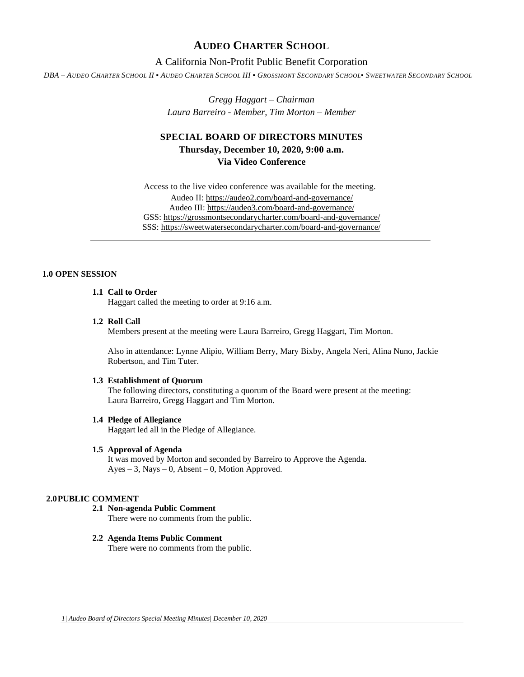# **AUDEO CHARTER SCHOOL**

# A California Non-Profit Public Benefit Corporation

DBA - AUDEO CHARTER SCHOOL II . AUDEO CHARTER SCHOOL III . GROSSMONT SECONDARY SCHOOL. SWEETWATER SECONDARY SCHOOL

*Gregg Haggart – Chairman Laura Barreiro - Member, Tim Morton – Member*

# **SPECIAL BOARD OF DIRECTORS MINUTES Thursday, December 10, 2020, 9:00 a.m. Via Video Conference**

Access to the live video conference was available for the meeting. Audeo II[: https://audeo2.com/board-and-governance/](https://audeo2.com/board-and-governance/) Audeo III:<https://audeo3.com/board-and-governance/> GSS:<https://grossmontsecondarycharter.com/board-and-governance/> SSS:<https://sweetwatersecondarycharter.com/board-and-governance/>

# **1.0 OPEN SESSION**

# **1.1 Call to Order**

Haggart called the meeting to order at 9:16 a.m.

#### **1.2 Roll Call**

Members present at the meeting were Laura Barreiro, Gregg Haggart, Tim Morton.

Also in attendance: Lynne Alipio, William Berry, Mary Bixby, Angela Neri, Alina Nuno, Jackie Robertson, and Tim Tuter.

### **1.3 Establishment of Quorum**

The following directors, constituting a quorum of the Board were present at the meeting: Laura Barreiro, Gregg Haggart and Tim Morton.

#### **1.4 Pledge of Allegiance**

Haggart led all in the Pledge of Allegiance.

#### **1.5 Approval of Agenda**

It was moved by Morton and seconded by Barreiro to Approve the Agenda.  $Ayes - 3$ , Nays – 0, Absent – 0, Motion Approved.

## **2.0PUBLIC COMMENT**

# **2.1 Non-agenda Public Comment**

There were no comments from the public.

## **2.2 Agenda Items Public Comment**

There were no comments from the public.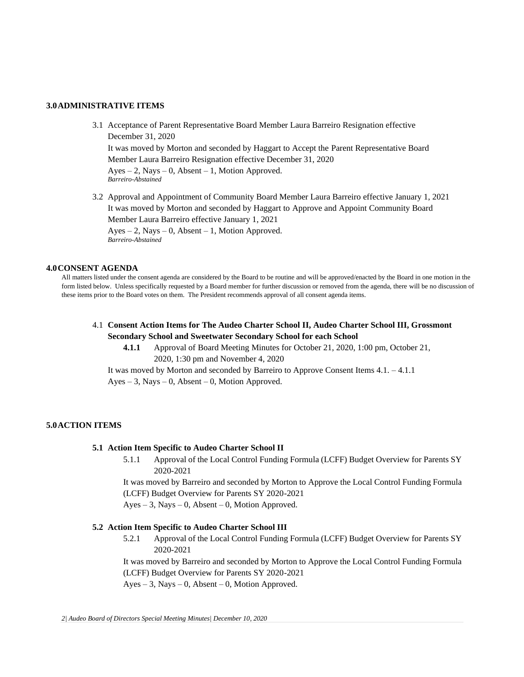#### **3.0ADMINISTRATIVE ITEMS**

- 3.1 Acceptance of Parent Representative Board Member Laura Barreiro Resignation effective December 31, 2020 It was moved by Morton and seconded by Haggart to Accept the Parent Representative Board Member Laura Barreiro Resignation effective December 31, 2020  $Ayes - 2$ , Nays – 0, Absent – 1, Motion Approved. *Barreiro-Abstained*
- 3.2 Approval and Appointment of Community Board Member Laura Barreiro effective January 1, 2021 It was moved by Morton and seconded by Haggart to Approve and Appoint Community Board Member Laura Barreiro effective January 1, 2021  $Ayes - 2$ , Nays – 0, Absent – 1, Motion Approved. *Barreiro-Abstained*

#### **4.0CONSENT AGENDA**

All matters listed under the consent agenda are considered by the Board to be routine and will be approved/enacted by the Board in one motion in the form listed below. Unless specifically requested by a Board member for further discussion or removed from the agenda, there will be no discussion of these items prior to the Board votes on them. The President recommends approval of all consent agenda items.

4.1 **Consent Action Items for The Audeo Charter School II, Audeo Charter School III, Grossmont Secondary School and Sweetwater Secondary School for each School**

**4.1.1** Approval of Board Meeting Minutes for October 21, 2020, 1:00 pm, October 21, 2020, 1:30 pm and November 4, 2020

It was moved by Morton and seconded by Barreiro to Approve Consent Items 4.1. – 4.1.1

 $Ayes - 3$ , Nays – 0, Absent – 0, Motion Approved.

## **5.0ACTION ITEMS**

#### **5.1 Action Item Specific to Audeo Charter School II**

5.1.1 Approval of the Local Control Funding Formula (LCFF) Budget Overview for Parents SY 2020-2021

It was moved by Barreiro and seconded by Morton to Approve the Local Control Funding Formula (LCFF) Budget Overview for Parents SY 2020-2021

Ayes – 3, Nays – 0, Absent – 0, Motion Approved.

#### **5.2 Action Item Specific to Audeo Charter School III**

5.2.1 Approval of the Local Control Funding Formula (LCFF) Budget Overview for Parents SY 2020-2021

It was moved by Barreiro and seconded by Morton to Approve the Local Control Funding Formula (LCFF) Budget Overview for Parents SY 2020-2021

 $Ayes - 3$ , Nays  $-0$ , Absent  $-0$ , Motion Approved.